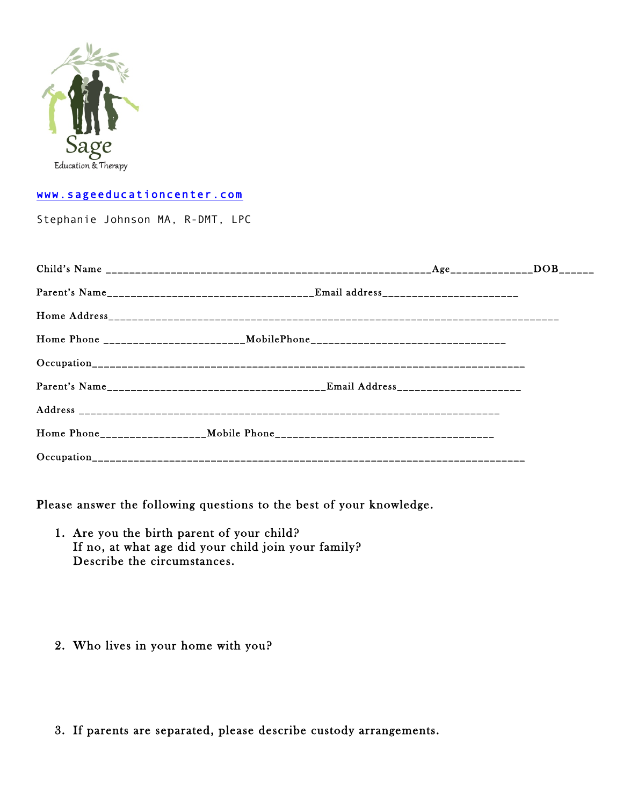

### www.sageeducationcenter.com

Stephanie Johnson MA, R-DMT, LPC

| Home Phone _________________________MobilePhone_________________________________ |  |  |
|----------------------------------------------------------------------------------|--|--|
|                                                                                  |  |  |
|                                                                                  |  |  |
|                                                                                  |  |  |
|                                                                                  |  |  |
|                                                                                  |  |  |

Please answer the following questions to the best of your knowledge.

- 1. Are you the birth parent of your child? If no, at what age did your child join your family? Describe the circumstances.
- 2. Who lives in your home with you?
- 3. If parents are separated, please describe custody arrangements.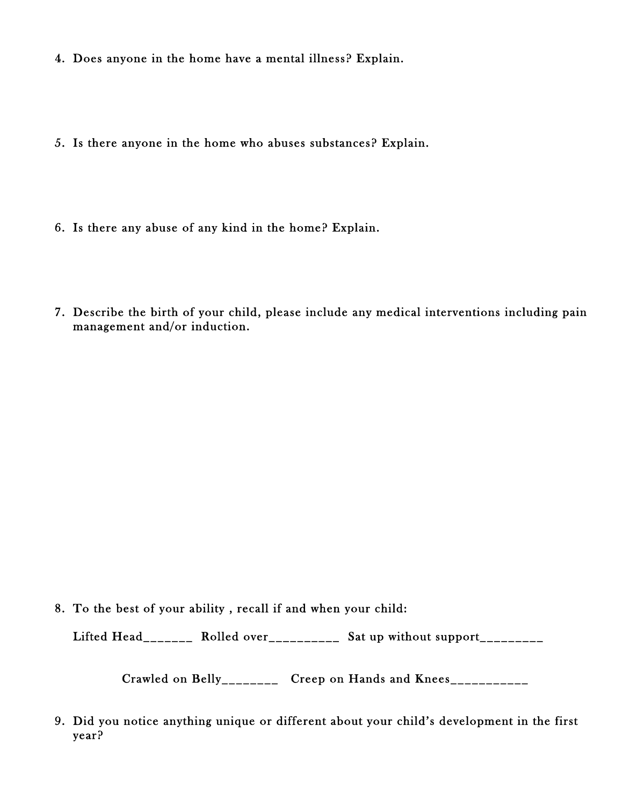- 4. Does anyone in the home have a mental illness? Explain.
- 5. Is there anyone in the home who abuses substances? Explain.
- 6. Is there any abuse of any kind in the home? Explain.
- 7. Describe the birth of your child, please include any medical interventions including pain management and/or induction.

8. To the best of your ability , recall if and when your child:

Lifted Head\_\_\_\_\_\_\_\_ Rolled over\_\_\_\_\_\_\_\_\_\_ Sat up without support\_\_\_\_\_\_\_\_\_

Crawled on Belly\_\_\_\_\_\_\_\_ Creep on Hands and Knees\_\_\_\_\_\_\_\_\_\_\_

9. Did you notice anything unique or different about your child's development in the first year?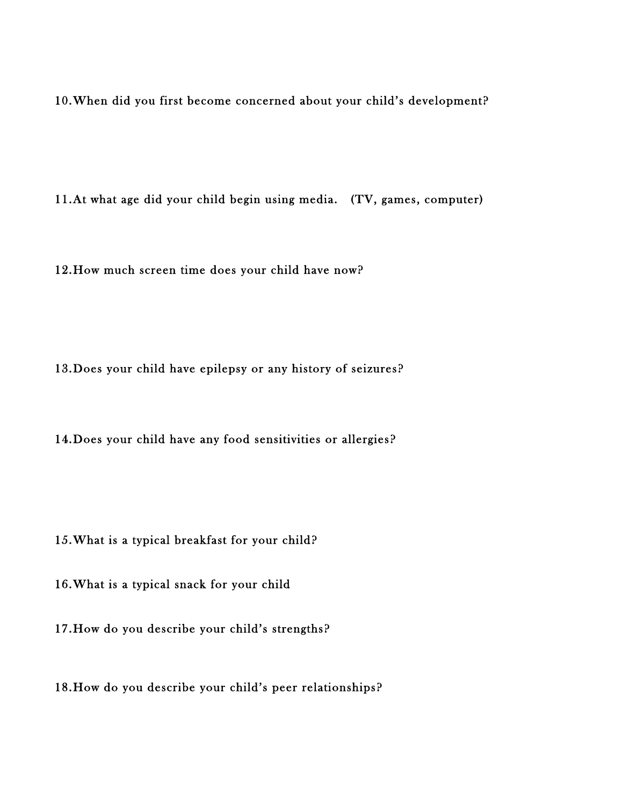10.When did you first become concerned about your child's development?

11.At what age did your child begin using media. (TV, games, computer)

12.How much screen time does your child have now?

13.Does your child have epilepsy or any history of seizures?

14.Does your child have any food sensitivities or allergies?

15.What is a typical breakfast for your child?

16.What is a typical snack for your child

17.How do you describe your child's strengths?

18.How do you describe your child's peer relationships?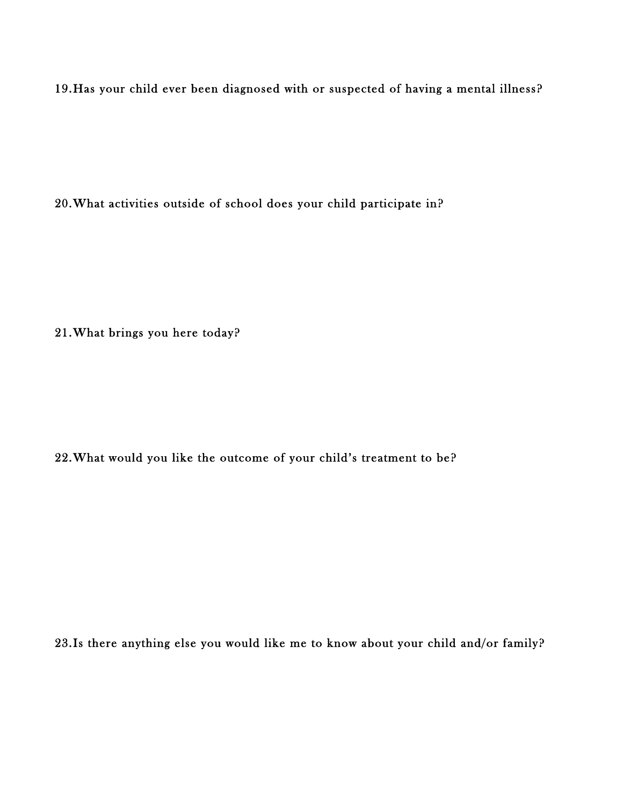19.Has your child ever been diagnosed with or suspected of having a mental illness?

20.What activities outside of school does your child participate in?

21.What brings you here today?

22.What would you like the outcome of your child's treatment to be?

23.Is there anything else you would like me to know about your child and/or family?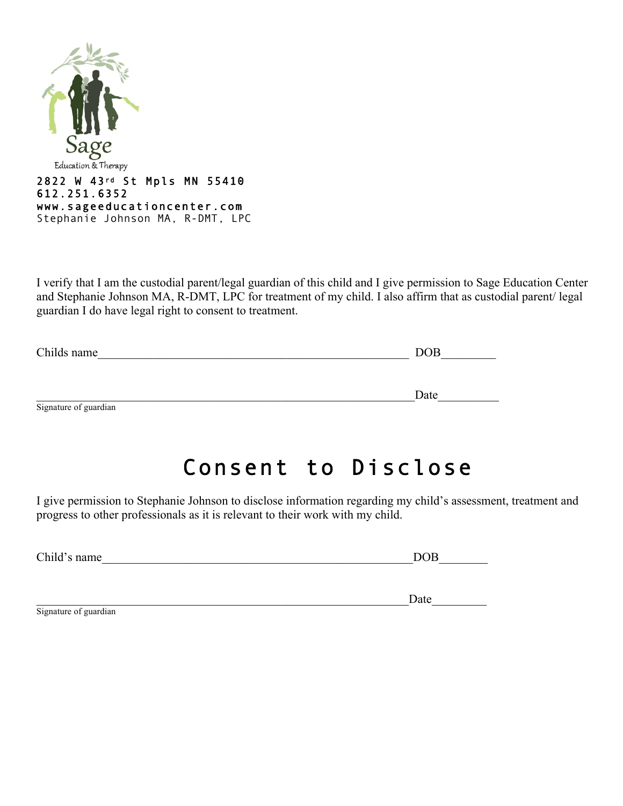

I verify that I am the custodial parent/legal guardian of this child and I give permission to Sage Education Center and Stephanie Johnson MA, R-DMT, LPC for treatment of my child. I also affirm that as custodial parent/ legal guardian I do have legal right to consent to treatment.

| Childs name           | DOB  |
|-----------------------|------|
|                       |      |
|                       | Date |
| Signature of guardian |      |

# Consent to Disclose

Date

I give permission to Stephanie Johnson to disclose information regarding my child's assessment, treatment and progress to other professionals as it is relevant to their work with my child.

| Child's name | ΛP |
|--------------|----|
|              |    |

| Signature of guardian |  |
|-----------------------|--|
|                       |  |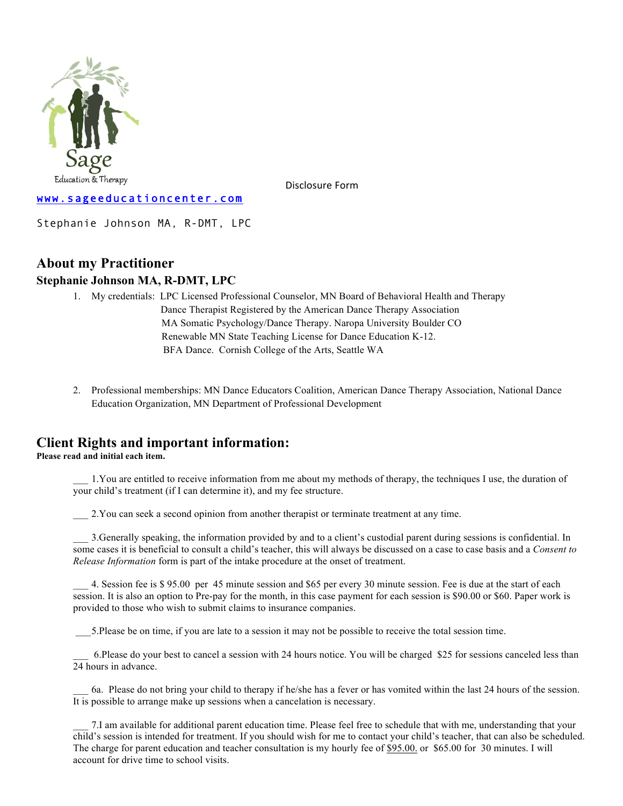

Disclosure Form

#### www.sageeducationcenter.com

Stephanie Johnson MA, R-DMT, LPC

## **About my Practitioner**

### **Stephanie Johnson MA, R-DMT, LPC**

- 1. My credentials: LPC Licensed Professional Counselor, MN Board of Behavioral Health and Therapy Dance Therapist Registered by the American Dance Therapy Association MA Somatic Psychology/Dance Therapy. Naropa University Boulder CO Renewable MN State Teaching License for Dance Education K-12. BFA Dance. Cornish College of the Arts, Seattle WA
- 2. Professional memberships: MN Dance Educators Coalition, American Dance Therapy Association, National Dance Education Organization, MN Department of Professional Development

### **Client Rights and important information:**

**Please read and initial each item.**

\_\_\_ 1.You are entitled to receive information from me about my methods of therapy, the techniques I use, the duration of your child's treatment (if I can determine it), and my fee structure.

\_\_\_ 2.You can seek a second opinion from another therapist or terminate treatment at any time.

\_\_\_ 3.Generally speaking, the information provided by and to a client's custodial parent during sessions is confidential. In some cases it is beneficial to consult a child's teacher, this will always be discussed on a case to case basis and a *Consent to Release Information* form is part of the intake procedure at the onset of treatment.

\_\_\_ 4. Session fee is \$ 95.00 per 45 minute session and \$65 per every 30 minute session. Fee is due at the start of each session. It is also an option to Pre-pay for the month, in this case payment for each session is \$90.00 or \$60. Paper work is provided to those who wish to submit claims to insurance companies.

\_\_\_5.Please be on time, if you are late to a session it may not be possible to receive the total session time.

\_\_\_ 6.Please do your best to cancel a session with 24 hours notice. You will be charged \$25 for sessions canceled less than 24 hours in advance.

\_\_\_ 6a. Please do not bring your child to therapy if he/she has a fever or has vomited within the last 24 hours of the session. It is possible to arrange make up sessions when a cancelation is necessary.

\_\_\_ 7.I am available for additional parent education time. Please feel free to schedule that with me, understanding that your child's session is intended for treatment. If you should wish for me to contact your child's teacher, that can also be scheduled. The charge for parent education and teacher consultation is my hourly fee of \$95.00. or \$65.00 for 30 minutes. I will account for drive time to school visits.